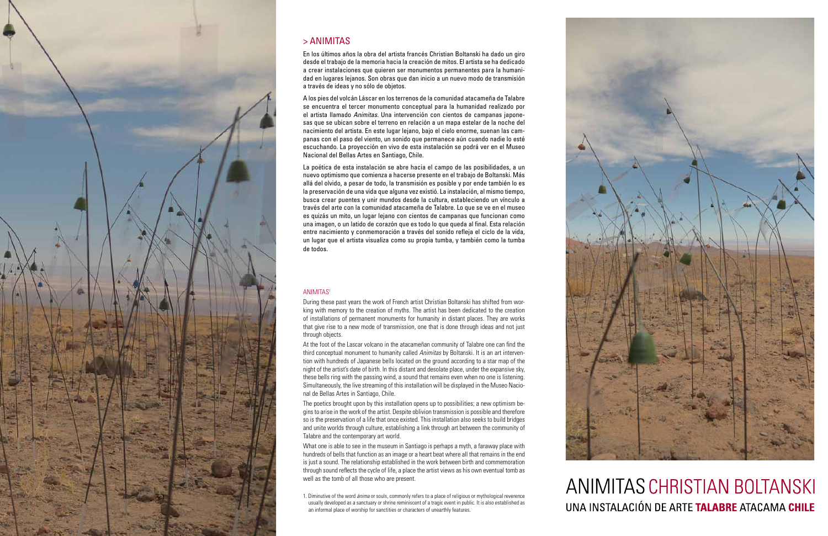#### ANIMITAS1

During these past years the work of French artist Christian Boltanski has shifted from working with memory to the creation of myths. The artist has been dedicated to the creation of installations of permanent monuments for humanity in distant places. They are works that give rise to a new mode of transmission, one that is done through ideas and not just through objects.

At the foot of the Lascar volcano in the atacameñan community of Talabre one can find the third conceptual monument to humanity called *Animitas* by Boltanski. It is an art intervention with hundreds of Japanese bells located on the ground according to a star map of the night of the artist's date of birth. In this distant and desolate place, under the expansive sky, these bells ring with the passing wind, a sound that remains even when no one is listening. Simultaneously, the live streaming of this installation will be displayed in the Museo Nacional de Bellas Artes in Santiago, Chile.

The poetics brought upon by this installation opens up to possibilities; a new optimism begins to arise in the work of the artist. Despite oblivion transmission is possible and therefore so is the preservation of a life that once existed. This installation also seeks to build bridges and unite worlds through culture, establishing a link through art between the community of Talabre and the contemporary art world.

What one is able to see in the museum in Santiago is perhaps a myth, a faraway place with hundreds of bells that function as an image or a heart beat where all that remains in the end is just a sound. The relationship established in the work between birth and commemoration through sound reflects the cycle of life, a place the artist views as his own eventual tomb as well as the tomb of all those who are present.

1. Diminutive of the word *ánima* or souls, commonly refers to a place of religious or mythological reverence usually developed as a sanctuary or shrine reminiscent of a tragic event in public. It is also established as an informal place of worship for sanctities or characters of unearthly features.





# **ANIMITAS CHRISTIAN BOLTANSKI** UNA INSTALACIÓN DE ARTE TALABRE ATACAMA CHILE



## > ANIMITAS

En los últimos años la obra del artista francés Christian Boltanski ha dado un giro desde el trabajo de la memoria hacia la creación de mitos. El artista se ha dedicado a crear instalaciones que quieren ser monumentos permanentes para la humanidad en lugares lejanos. Son obras que dan inicio a un nuevo modo de transmisión a través de ideas y no sólo de objetos.

A los pies del volcán Láscar en los terrenos de la comunidad atacameña de Talabre se encuentra el tercer monumento conceptual para la humanidad realizado por el artista llamado *Animitas.* Una intervención con cientos de campanas japonesas que se ubican sobre el terreno en relación a un mapa estelar de la noche del nacimiento del artista. En este lugar lejano, bajo el cielo enorme, suenan las campanas con el paso del viento, un sonido que permanece aún cuando nadie lo esté escuchando. La proyección en vivo de esta instalación se podrá ver en el Museo Nacional del Bellas Artes en Santiago, Chile.

La poética de esta instalación se abre hacia el campo de las posibilidades, a un nuevo optimismo que comienza a hacerse presente en el trabajo de Boltanski. Más allá del olvido, a pesar de todo, la transmisión es posible y por ende también lo es la preservación de una vida que alguna vez existió. La instalación, al mismo tiempo, busca crear puentes y unir mundos desde la cultura, estableciendo un vínculo a través del arte con la comunidad atacameña de Talabre. Lo que se ve en el museo es quizás un mito, un lugar lejano con cientos de campanas que funcionan como una imagen, o un latido de corazón que es todo lo que queda al final. Esta relación entre nacimiento y conmemoración a través del sonido refleja el ciclo de la vida, un lugar que el artista visualiza como su propia tumba, y también como la tumba de todos.